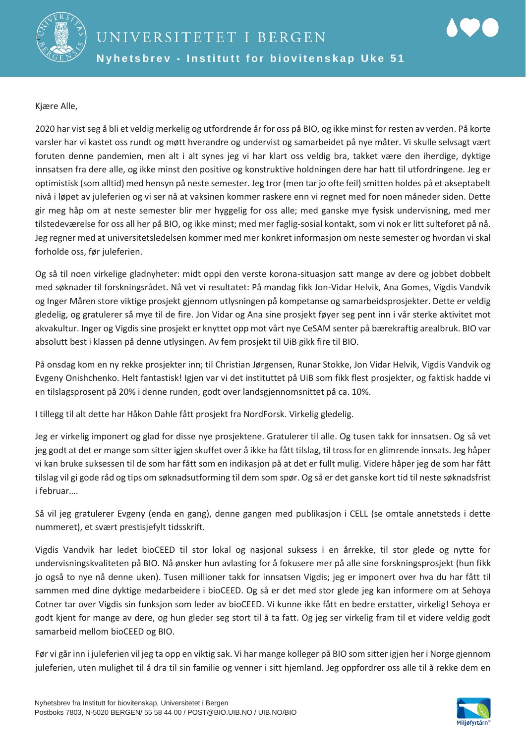

Kjære Alle,

2020 har vist seg å bli et veldig merkelig og utfordrende år for oss på BIO, og ikke minst for resten av verden. På korte varsler har vi kastet oss rundt og møtt hverandre og undervist og samarbeidet på nye måter. Vi skulle selvsagt vært foruten denne pandemien, men alt i alt synes jeg vi har klart oss veldig bra, takket være den iherdige, dyktige innsatsen fra dere alle, og ikke minst den positive og konstruktive holdningen dere har hatt til utfordringene. Jeg er optimistisk (som alltid) med hensyn på neste semester. Jeg tror (men tar jo ofte feil) smitten holdes på et akseptabelt nivå i løpet av juleferien og vi ser nå at vaksinen kommer raskere enn vi regnet med for noen måneder siden. Dette gir meg håp om at neste semester blir mer hyggelig for oss alle; med ganske mye fysisk undervisning, med mer tilstedeværelse for oss all her på BIO, og ikke minst; med mer faglig-sosial kontakt, som vi nok er litt sulteforet på nå. Jeg regner med at universitetsledelsen kommer med mer konkret informasjon om neste semester og hvordan vi skal forholde oss, før juleferien.

Og så til noen virkelige gladnyheter: midt oppi den verste korona-situasjon satt mange av dere og jobbet dobbelt med søknader til forskningsrådet. Nå vet vi resultatet: På mandag fikk Jon-Vidar Helvik, Ana Gomes, Vigdis Vandvik og Inger Måren store viktige prosjekt gjennom utlysningen på kompetanse og samarbeidsprosjekter. Dette er veldig gledelig, og gratulerer så mye til de fire. Jon Vidar og Ana sine prosjekt føyer seg pent inn i vår sterke aktivitet mot akvakultur. Inger og Vigdis sine prosjekt er knyttet opp mot vårt nye CeSAM senter på bærekraftig arealbruk. BIO var absolutt best i klassen på denne utlysingen. Av fem prosjekt til UiB gikk fire til BIO.

På onsdag kom en ny rekke prosjekter inn; til Christian Jørgensen, Runar Stokke, Jon Vidar Helvik, Vigdis Vandvik og Evgeny Onishchenko. Helt fantastisk! Igjen var vi det instituttet på UiB som fikk flest prosjekter, og faktisk hadde vi en tilslagsprosent på 20% i denne runden, godt over landsgjennomsnittet på ca. 10%.

I tillegg til alt dette har Håkon Dahle fått prosjekt fra NordForsk. Virkelig gledelig.

Jeg er virkelig imponert og glad for disse nye prosjektene. Gratulerer til alle. Og tusen takk for innsatsen. Og så vet jeg godt at det er mange som sitter igjen skuffet over å ikke ha fått tilslag, til tross for en glimrende innsats. Jeg håper vi kan bruke suksessen til de som har fått som en indikasjon på at det er fullt mulig. Videre håper jeg de som har fått tilslag vil gi gode råd og tips om søknadsutforming til dem som spør. Og så er det ganske kort tid til neste søknadsfrist i februar….

Så vil jeg gratulerer Evgeny (enda en gang), denne gangen med publikasjon i CELL (se omtale annetsteds i dette nummeret), et svært prestisjefylt tidsskrift.

Vigdis Vandvik har ledet bioCEED til stor lokal og nasjonal suksess i en årrekke, til stor glede og nytte for undervisningskvaliteten på BIO. Nå ønsker hun avlasting for å fokusere mer på alle sine forskningsprosjekt (hun fikk jo også to nye nå denne uken). Tusen millioner takk for innsatsen Vigdis; jeg er imponert over hva du har fått til sammen med dine dyktige medarbeidere i bioCEED. Og så er det med stor glede jeg kan informere om at Sehoya Cotner tar over Vigdis sin funksjon som leder av bioCEED. Vi kunne ikke fått en bedre erstatter, virkelig! Sehoya er godt kjent for mange av dere, og hun gleder seg stort til å ta fatt. Og jeg ser virkelig fram til et videre veldig godt samarbeid mellom bioCEED og BIO.

Før vi går inn i juleferien vil jeg ta opp en viktig sak. Vi har mange kolleger på BIO som sitter igjen her i Norge gjennom juleferien, uten mulighet til å dra til sin familie og venner i sitt hjemland. Jeg oppfordrer oss alle til å rekke dem en

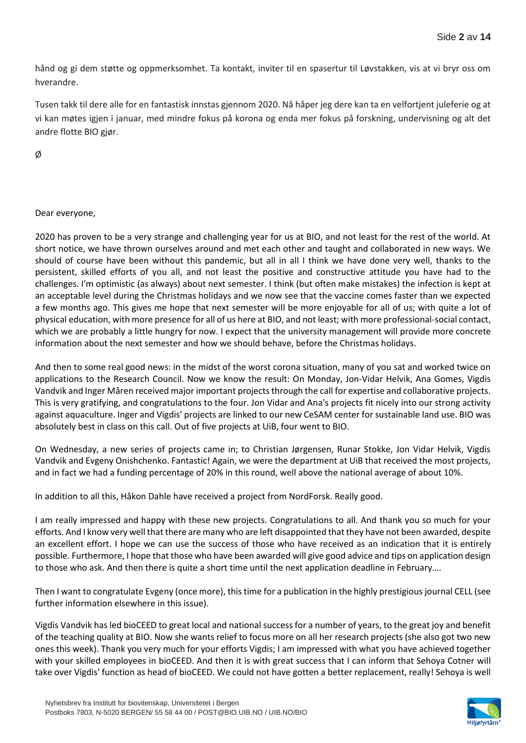hånd og gi dem støtte og oppmerksomhet. Ta kontakt, inviter til en spasertur til Løvstakken, vis at vi bryr oss om hverandre.

Tusen takk til dere alle for en fantastisk innstas gjennom 2020. Nå håper jeg dere kan ta en velfortjent juleferie og at vi kan møtes igjen i januar, med mindre fokus på korona og enda mer fokus på forskning, undervisning og alt det andre flotte BIO gjør.

Ø

### Dear everyone,

2020 has proven to be a very strange and challenging year for us at BIO, and not least for the rest of the world. At short notice, we have thrown ourselves around and met each other and taught and collaborated in new ways. We should of course have been without this pandemic, but all in all I think we have done very well, thanks to the persistent, skilled efforts of you all, and not least the positive and constructive attitude you have had to the challenges. I'm optimistic (as always) about next semester. I think (but often make mistakes) the infection is kept at an acceptable level during the Christmas holidays and we now see that the vaccine comes faster than we expected a few months ago. This gives me hope that next semester will be more enjoyable for all of us; with quite a lot of physical education, with more presence for all of us here at BIO, and not least; with more professional-social contact, which we are probably a little hungry for now. I expect that the university management will provide more concrete information about the next semester and how we should behave, before the Christmas holidays.

And then to some real good news: in the midst of the worst corona situation, many of you sat and worked twice on applications to the Research Council. Now we know the result: On Monday, Jon-Vidar Helvik, Ana Gomes, Vigdis Vandvik and Inger Måren received major important projects through the call for expertise and collaborative projects. This is very gratifying, and congratulations to the four. Jon Vidar and Ana's projects fit nicely into our strong activity against aquaculture. Inger and Vigdis' projects are linked to our new CeSAM center for sustainable land use. BIO was absolutely best in class on this call. Out of five projects at UiB, four went to BIO.

On Wednesday, a new series of projects came in; to Christian Jørgensen, Runar Stokke, Jon Vidar Helvik, Vigdis Vandvik and Evgeny Onishchenko. Fantastic! Again, we were the department at UiB that received the most projects, and in fact we had a funding percentage of 20% in this round, well above the national average of about 10%.

In addition to all this, Håkon Dahle have received a project from NordForsk. Really good.

I am really impressed and happy with these new projects. Congratulations to all. And thank you so much for your efforts. And I know very well that there are many who are left disappointed that they have not been awarded, despite an excellent effort. I hope we can use the success of those who have received as an indication that it is entirely possible. Furthermore, I hope that those who have been awarded will give good advice and tips on application design to those who ask. And then there is quite a short time until the next application deadline in February….

Then I want to congratulate Evgeny (once more), this time for a publication in the highly prestigious journal CELL (see further information elsewhere in this issue).

Vigdis Vandvik has led bioCEED to great local and national success for a number of years, to the great joy and benefit of the teaching quality at BIO. Now she wants relief to focus more on all her research projects (she also got two new ones this week). Thank you very much for your efforts Vigdis; I am impressed with what you have achieved together with your skilled employees in bioCEED. And then it is with great success that I can inform that Sehoya Cotner will take over Vigdis' function as head of bioCEED. We could not have gotten a better replacement, really! Sehoya is well

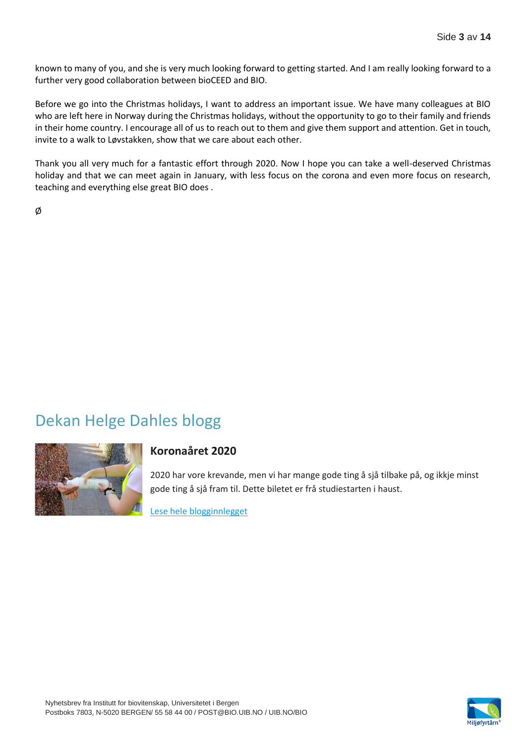known to many of you, and she is very much looking forward to getting started. And I am really looking forward to a further very good collaboration between bioCEED and BIO.

Before we go into the Christmas holidays, I want to address an important issue. We have many colleagues at BIO who are left here in Norway during the Christmas holidays, without the opportunity to go to their family and friends in their home country. I encourage all of us to reach out to them and give them support and attention. Get in touch, invite to a walk to Løvstakken, show that we care about each other.

Thank you all very much for a fantastic effort through 2020. Now I hope you can take a well-deserved Christmas holiday and that we can meet again in January, with less focus on the corona and even more focus on research, teaching and everything else great BIO does .

Ø

## Dekan Helge Dahles blogg



### **Koronaåret 2020**

2020 har vore krevande, men vi har mange gode ting å sjå tilbake på, og ikkje minst gode ting å sjå fram til. Dette biletet er frå studiestarten i haust.

[Lese hele blogginnlegget](https://matnat.w.uib.no/arkiv/1285)

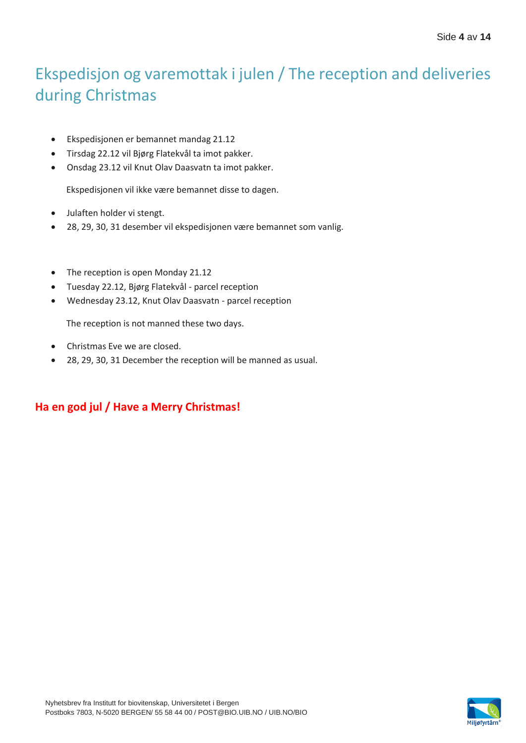# Ekspedisjon og varemottak i julen / The reception and deliveries during Christmas

- Ekspedisjonen er bemannet mandag 21.12
- Tirsdag 22.12 vil Bjørg Flatekvål ta imot pakker.
- Onsdag 23.12 vil Knut Olav Daasvatn ta imot pakker.

Ekspedisjonen vil ikke være bemannet disse to dagen.

- Julaften holder vi stengt.
- 28, 29, 30, 31 desember vil ekspedisjonen være bemannet som vanlig.
- The reception is open Monday 21.12
- Tuesday 22.12, Bjørg Flatekvål parcel reception
- Wednesday 23.12, Knut Olav Daasvatn parcel reception

The reception is not manned these two days.

- Christmas Eve we are closed.
- 28, 29, 30, 31 December the reception will be manned as usual.

### **Ha en god jul / Have a Merry Christmas!**

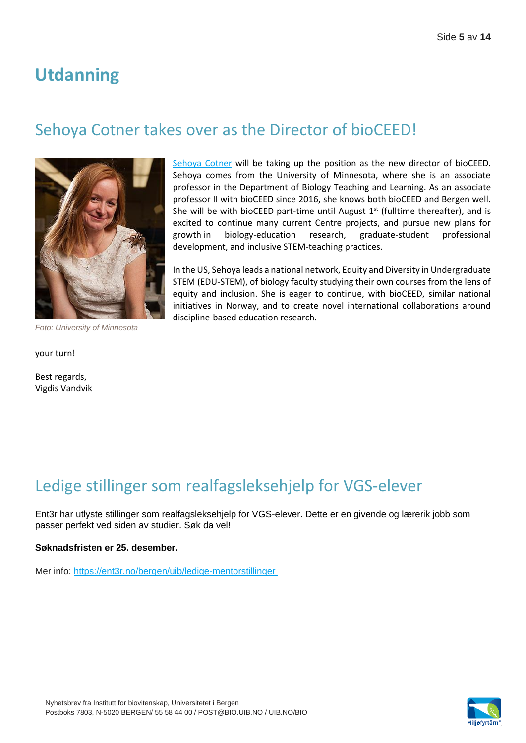## **Utdanning**

## Sehoya Cotner takes over as the Director of bioCEED!



[Sehoya Cotner](https://cbs.umn.edu/contacts/sehoya-cotner) will be taking up the position as the new director of bioCEED. Sehoya comes from the University of Minnesota, where she is an associate professor in the Department of Biology Teaching and Learning. As an associate professor II with bioCEED since 2016, she knows both bioCEED and Bergen well. She will be with bioCEED part-time until August  $1<sup>st</sup>$  (fulltime thereafter), and is excited to continue many current Centre projects, and pursue new plans for growth in biology-education research, graduate-student professional development, and inclusive STEM-teaching practices.

In the US, Sehoya leads a national network, Equity and Diversity in Undergraduate STEM (EDU-STEM), of biology faculty studying their own courses from the lens of equity and inclusion. She is eager to continue, with bioCEED, similar national initiatives in Norway, and to create novel international collaborations around discipline-based education research.

*Foto: University of Minnesota*

your turn!

Best regards, Vigdis Vandvik

## Ledige stillinger som realfagsleksehjelp for VGS-elever

Ent3r har utlyste stillinger som realfagsleksehjelp for VGS-elever. Dette er en givende og lærerik jobb som passer perfekt ved siden av studier. Søk da vel!

#### **Søknadsfristen er 25. desember.**

Mer info:<https://ent3r.no/bergen/uib/ledige-mentorstillinger>

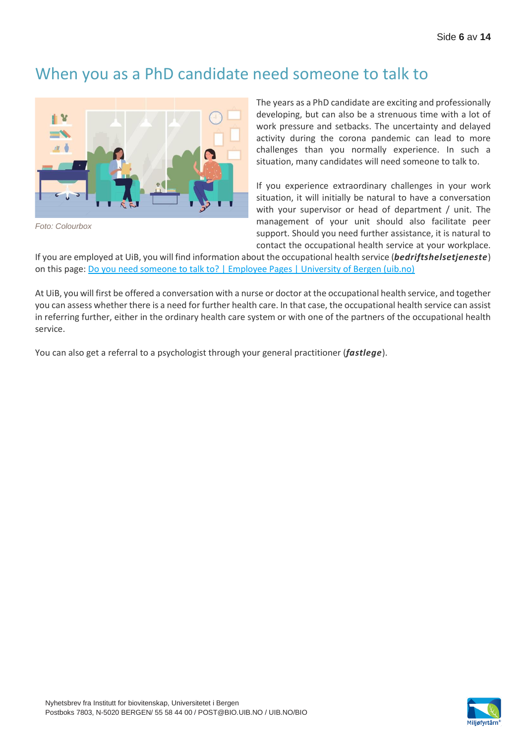### When you as a PhD candidate need someone to talk to



*Foto: Colourbox*

The years as a PhD candidate are exciting and professionally developing, but can also be a strenuous time with a lot of work pressure and setbacks. The uncertainty and delayed activity during the corona pandemic can lead to more challenges than you normally experience. In such a situation, many candidates will need someone to talk to.

If you experience extraordinary challenges in your work situation, it will initially be natural to have a conversation with your supervisor or head of department / unit. The management of your unit should also facilitate peer support. Should you need further assistance, it is natural to contact the occupational health service at your workplace.

If you are employed at UiB, you will find information about the occupational health service (*bedriftshelsetjeneste*) on this page[: Do you need someone to talk to? | Employee Pages | University of Bergen \(uib.no\)](https://www.uib.no/en/foremployees/135171/do-you-need-someone-talk)

At UiB, you will first be offered a conversation with a nurse or doctor at the occupational health service, and together you can assess whether there is a need for further health care. In that case, the occupational health service can assist in referring further, either in the ordinary health care system or with one of the partners of the occupational health service.

You can also get a referral to a psychologist through your general practitioner (*fastlege*).

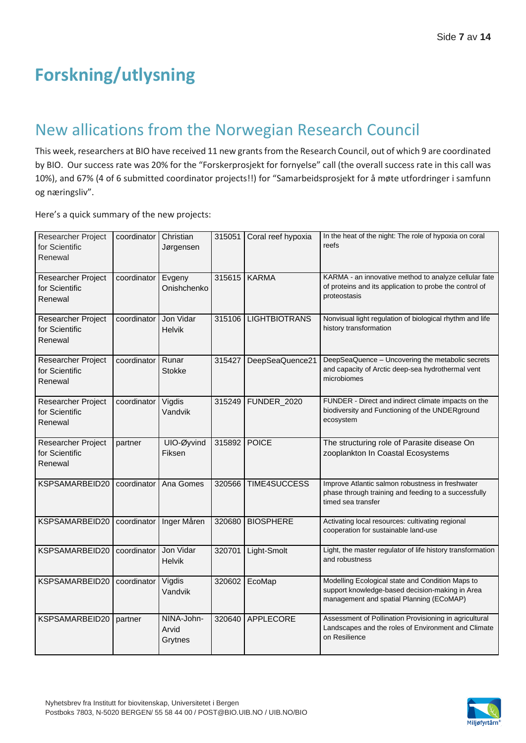# **Forskning/utlysning**

## New allications from the Norwegian Research Council

This week, researchers at BIO have received 11 new grants from the Research Council, out of which 9 are coordinated by BIO. Our success rate was 20% for the "Forskerprosjekt for fornyelse" call (the overall success rate in this call was 10%), and 67% (4 of 6 submitted coordinator projects!!) for "Samarbeidsprosjekt for å møte utfordringer i samfunn og næringsliv".

Here's a quick summary of the new projects:

| Researcher Project<br>for Scientific<br>Renewal | coordinator | Christian<br>Jørgensen         | 315051       | Coral reef hypoxia   | In the heat of the night: The role of hypoxia on coral<br>reefs                                                                                 |
|-------------------------------------------------|-------------|--------------------------------|--------------|----------------------|-------------------------------------------------------------------------------------------------------------------------------------------------|
| Researcher Project<br>for Scientific<br>Renewal | coordinator | Evgeny<br>Onishchenko          |              | 315615 KARMA         | KARMA - an innovative method to analyze cellular fate<br>of proteins and its application to probe the control of<br>proteostasis                |
| Researcher Project<br>for Scientific<br>Renewal | coordinator | Jon Vidar<br><b>Helvik</b>     | 315106       | <b>LIGHTBIOTRANS</b> | Nonvisual light regulation of biological rhythm and life<br>history transformation                                                              |
| Researcher Project<br>for Scientific<br>Renewal | coordinator | Runar<br><b>Stokke</b>         | 315427       | DeepSeaQuence21      | DeepSeaQuence - Uncovering the metabolic secrets<br>and capacity of Arctic deep-sea hydrothermal vent<br>microbiomes                            |
| Researcher Project<br>for Scientific<br>Renewal | coordinator | Vigdis<br>Vandvik              | 315249       | FUNDER_2020          | FUNDER - Direct and indirect climate impacts on the<br>biodiversity and Functioning of the UNDERground<br>ecosystem                             |
| Researcher Project<br>for Scientific<br>Renewal | partner     | UIO-Øyvind<br>Fiksen           | 315892 POICE |                      | The structuring role of Parasite disease On<br>zooplankton In Coastal Ecosystems                                                                |
| KSPSAMARBEID20                                  | coordinator | Ana Gomes                      | 320566       | <b>TIME4SUCCESS</b>  | Improve Atlantic salmon robustness in freshwater<br>phase through training and feeding to a successfully<br>timed sea transfer                  |
| KSPSAMARBEID20                                  | coordinator | Inger Måren                    | 320680       | <b>BIOSPHERE</b>     | Activating local resources: cultivating regional<br>cooperation for sustainable land-use                                                        |
| KSPSAMARBEID20                                  | coordinator | Jon Vidar<br><b>Helvik</b>     | 320701       | Light-Smolt          | Light, the master regulator of life history transformation<br>and robustness                                                                    |
| KSPSAMARBEID20                                  | coordinator | Vigdis<br>Vandvik              |              | 320602 EcoMap        | Modelling Ecological state and Condition Maps to<br>support knowledge-based decision-making in Area<br>management and spatial Planning (ECoMAP) |
| KSPSAMARBEID20                                  | partner     | NINA-John-<br>Arvid<br>Grytnes | 320640       | <b>APPLECORE</b>     | Assessment of Pollination Provisioning in agricultural<br>Landscapes and the roles of Environment and Climate<br>on Resilience                  |



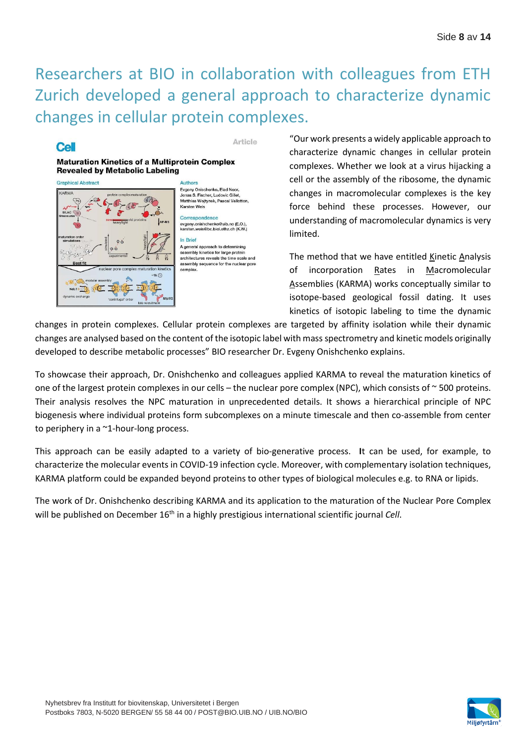## Researchers at BIO in collaboration with colleagues from ETH Zurich developed a general approach to characterize dynamic changes in cellular protein complexes.

### **Cell**

Article

#### **Maturation Kinetics of a Multiprotein Complex Revealed by Metabolic Labeling**



Authors Evgeny Onischenko, Elad Noor onas S. Fischer, Ludovic Gillet, oonas o. I ischer, Ludovic Gillet,<br>Matthias Wojtynek, Pascal Vallotton, Karsten Weis

Correspondence evgeny.onishchenko@uib.no (E.O.),<br>karsten.weis@bc.biol.ethz.ch (K.W.)

In Brief A general approach to determining assembly kinetics for large protein<br>architectures reveals the time scale and assembly sequence for the nuclear pore complex.

"Our work presents a widely applicable approach to characterize dynamic changes in cellular protein complexes. Whether we look at a virus hijacking a cell or the assembly of the ribosome, the dynamic changes in macromolecular complexes is the key force behind these processes. However, our understanding of macromolecular dynamics is very limited.

The method that we have entitled Kinetic Analysis of incorporation Rates in Macromolecular Assemblies (KARMA) works conceptually similar to isotope-based geological fossil dating. It uses kinetics of isotopic labeling to time the dynamic

changes in protein complexes. Cellular protein complexes are targeted by affinity isolation while their dynamic changes are analysed based on the content of the isotopic label with mass spectrometry and kinetic models originally developed to describe metabolic processes" BIO researcher Dr. Evgeny Onishchenko explains.

To showcase their approach, Dr. Onishchenko and colleagues applied KARMA to reveal the maturation kinetics of one of the largest protein complexes in our cells – the nuclear pore complex (NPC), which consists of ~500 proteins. Their analysis resolves the NPC maturation in unprecedented details. It shows a hierarchical principle of NPC biogenesis where individual proteins form subcomplexes on a minute timescale and then co-assemble from center to periphery in a ~1-hour-long process.

This approach can be easily adapted to a variety of bio-generative process. **I**t can be used, for example, to characterize the molecular events in COVID-19 infection cycle. Moreover, with complementary isolation techniques, KARMA platform could be expanded beyond proteins to other types of biological molecules e.g. to RNA or lipids.

The work of Dr. Onishchenko describing KARMA and its application to the maturation of the Nuclear Pore Complex will be published on December 16<sup>th</sup> in a highly prestigious international scientific journal *Cell*.

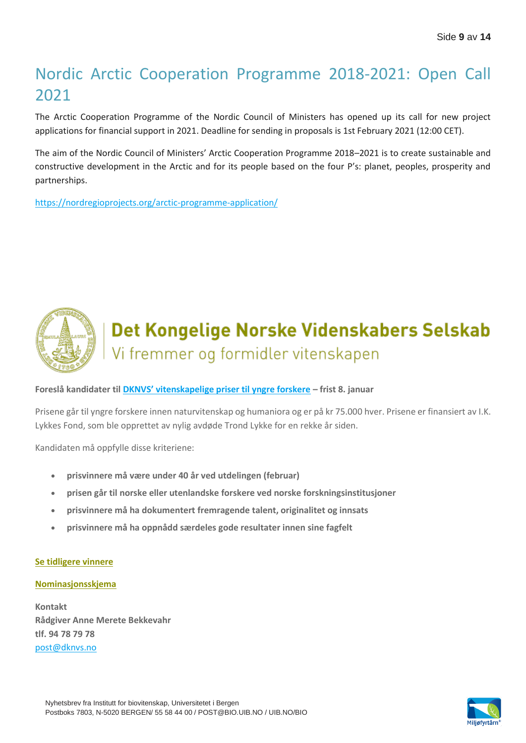# Nordic Arctic Cooperation Programme 2018-2021: Open Call 2021

The Arctic Cooperation Programme of the Nordic Council of Ministers has opened up its call for new project applications for financial support in 2021. Deadline for sending in proposals is 1st February 2021 (12:00 CET).

The aim of the Nordic Council of Ministers' Arctic Cooperation Programme 2018–2021 is to create sustainable and constructive development in the Arctic and for its people based on the four P's: planet, peoples, prosperity and partnerships.

<https://nordregioprojects.org/arctic-programme-application/>



# Det Kongelige Norske Videnskabers Selskab Vi fremmer og formidler vitenskapen

**Foreslå kandidater til [DKNVS' vitenskapelige priser til yngre forskere](https://www.dknvs.no/priserutmerkelser/vitenskapelige-priser/) – frist 8. januar**

Prisene går til yngre forskere innen naturvitenskap og humaniora og er på kr 75.000 hver. Prisene er finansiert av I.K. Lykkes Fond, som ble opprettet av nylig avdøde Trond Lykke for en rekke år siden.

Kandidaten må oppfylle disse kriteriene:

- **prisvinnere må være under 40 år ved utdelingen (februar)**
- **prisen går til norske eller utenlandske forskere ved norske forskningsinstitusjoner**
- **prisvinnere må ha dokumentert fremragende talent, originalitet og innsats**
- **prisvinnere må ha oppnådd særdeles gode resultater innen sine fagfelt**

#### **Se [tidligere](https://www.dknvs.no/priserutmerke.../vitenskapelige-priser/) vinnere**

#### **[Nominasjonsskjema](https://www.ntnu.no/machform/view.php?id=283112)**

**Kontakt Rådgiver Anne Merete Bekkevahr tlf. 94 78 79 78** [post@dknvs.no](mailto:post@dknvs.no)

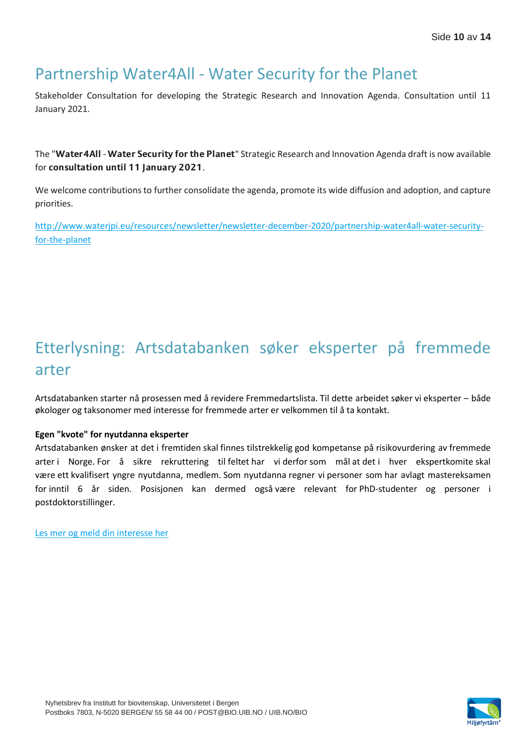## Partnership Water4All - Water Security for the Planet

Stakeholder Consultation for developing the Strategic Research and Innovation Agenda. Consultation until 11 January 2021.

The "Water4All - Water Security for the Planet" Strategic Research and Innovation Agenda draft is now available for consultation until 11 January 2021.

We welcome contributions to further consolidate the agenda, promote its wide diffusion and adoption, and capture priorities.

[http://www.waterjpi.eu/resources/newsletter/newsletter-december-2020/partnership-water4all-water-security](http://www.waterjpi.eu/resources/newsletter/newsletter-december-2020/partnership-water4all-water-security-for-the-planet)[for-the-planet](http://www.waterjpi.eu/resources/newsletter/newsletter-december-2020/partnership-water4all-water-security-for-the-planet)

# Etterlysning: Artsdatabanken søker eksperter på fremmede arter

Artsdatabanken starter nå prosessen med å revidere Fremmedartslista. Til dette arbeidet søker vi eksperter – både økologer og taksonomer med interesse for fremmede arter er velkommen til å ta kontakt. 

### **Egen "kvote" for nyutdanna eksperter**

Artsdatabanken ønsker at det i fremtiden skal finnes tilstrekkelig god kompetanse på risikovurdering av fremmede arter i Norge. For å sikre rekruttering til feltet har vi derfor som mål at det i hver ekspertkomite skal være ett kvalifisert yngre nyutdanna, medlem. Som nyutdanna regner vi personer som har avlagt mastereksamen for inntil 6 år siden. Posisjonen kan dermed også være relevant for PhD-studenter og personer i postdoktorstillinger. 

[Les mer og meld din interesse her](https://www.artsdatabanken.no/Pages/302133/Etterlysning__Artsdatabanken_soeker_eksperter_paa)

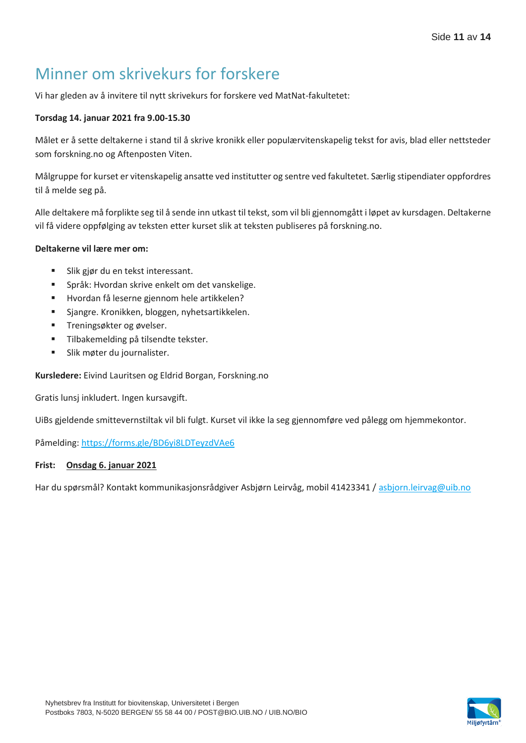## Minner om skrivekurs for forskere

Vi har gleden av å invitere til nytt skrivekurs for forskere ved MatNat-fakultetet:

### **Torsdag 14. januar 2021 fra 9.00-15.30**

Målet er å sette deltakerne i stand til å skrive kronikk eller populærvitenskapelig tekst for avis, blad eller nettsteder som forskning.no og Aftenposten Viten.

Målgruppe for kurset er vitenskapelig ansatte ved institutter og sentre ved fakultetet. Særlig stipendiater oppfordres til å melde seg på.

Alle deltakere må forplikte seg til å sende inn utkast til tekst, som vil bli gjennomgått i løpet av kursdagen. Deltakerne vil få videre oppfølging av teksten etter kurset slik at teksten publiseres på forskning.no.

### **Deltakerne vil lære mer om:**

- Slik gjør du en tekst interessant.
- **EXEC** Språk: Hvordan skrive enkelt om det vanskelige.
- Hvordan få leserne gjennom hele artikkelen?
- Sjangre. Kronikken, bloggen, nyhetsartikkelen.
- **·** Treningsøkter og øvelser.
- Tilbakemelding på tilsendte tekster.
- **E** Slik møter du journalister.

**Kursledere:** Eivind Lauritsen og Eldrid Borgan, Forskning.no

Gratis lunsj inkludert. Ingen kursavgift.

UiBs gjeldende smittevernstiltak vil bli fulgt. Kurset vil ikke la seg gjennomføre ved pålegg om hjemmekontor.

Påmelding:<https://forms.gle/BD6yi8LDTeyzdVAe6>

#### **Frist: Onsdag 6. januar 2021**

Har du spørsmål? Kontakt kommunikasjonsrådgiver Asbjørn Leirvåg, mobil 41423341 [/ asbjorn.leirvag@uib.no](mailto:asbjorn.leirvag@uib.no)

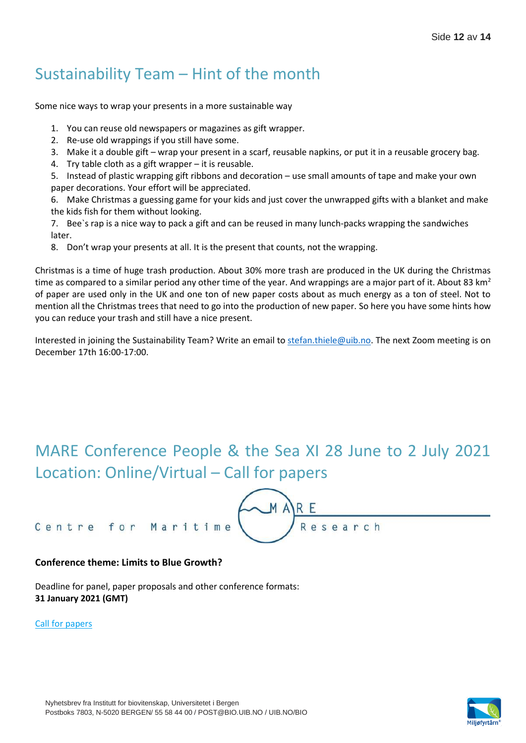## Sustainability Team – Hint of the month

Some nice ways to wrap your presents in a more sustainable way

- 1. You can reuse old newspapers or magazines as gift wrapper.
- 2. Re-use old wrappings if you still have some.
- 3. Make it a double gift wrap your present in a scarf, reusable napkins, or put it in a reusable grocery bag.
- 4. Try table cloth as a gift wrapper it is reusable.

5. Instead of plastic wrapping gift ribbons and decoration – use small amounts of tape and make your own paper decorations. Your effort will be appreciated.

6. Make Christmas a guessing game for your kids and just cover the unwrapped gifts with a blanket and make the kids fish for them without looking.

7. Bee`s rap is a nice way to pack a gift and can be reused in many lunch-packs wrapping the sandwiches later.

8. Don't wrap your presents at all. It is the present that counts, not the wrapping.

Christmas is a time of huge trash production. About 30% more trash are produced in the UK during the Christmas time as compared to a similar period any other time of the year. And wrappings are a major part of it. About 83  $km^2$ of paper are used only in the UK and one ton of new paper costs about as much energy as a ton of steel. Not to mention all the Christmas trees that need to go into the production of new paper. So here you have some hints how you can reduce your trash and still have a nice present.

Interested in joining the Sustainability Team? Write an email to [stefan.thiele@uib.no.](mailto:stefan.thiele@uib.no) The next Zoom meeting is on December 17th 16:00-17:00.

## MARE Conference People & the Sea XI 28 June to 2 July 2021 Location: Online/Virtual – Call for papers

#### Centre for Maritime

#### **Conference theme: Limits to Blue Growth?**

Deadline for panel, paper proposals and other conference formats: **31 January 2021 (GMT)**

#### [Call for papers](http://vedlegg.uib.no/?id=804e35475f3c1a4fcc66fed2faa3f988)



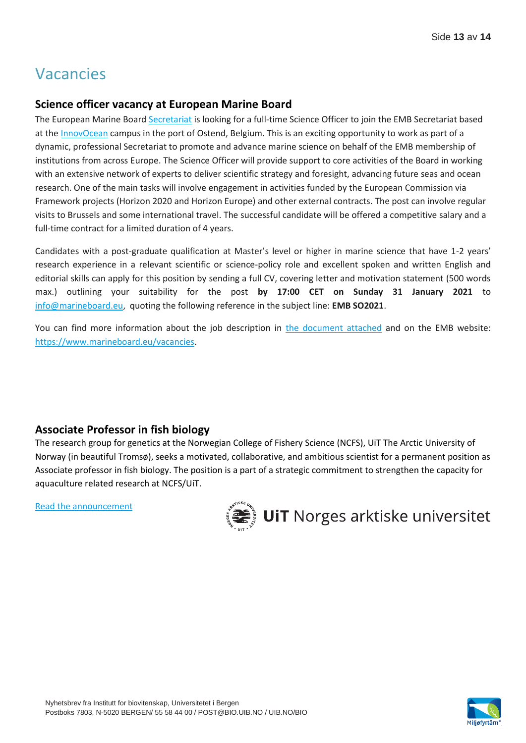## Vacancies

### **Science officer vacancy at European Marine Board**

The European Marine Board [Secretariat](https://www.marineboard.eu/secretariat) is looking for a full-time Science Officer to join the EMB Secretariat based at th[e InnovOcean](https://www.vliz.be/en/innovocean-site-partners) campus in the port of Ostend, Belgium. This is an exciting opportunity to work as part of a dynamic, professional Secretariat to promote and advance marine science on behalf of the EMB membership of institutions from across Europe. The Science Officer will provide support to core activities of the Board in working with an extensive network of experts to deliver scientific strategy and foresight, advancing future seas and ocean research. One of the main tasks will involve engagement in activities funded by the European Commission via Framework projects (Horizon 2020 and Horizon Europe) and other external contracts. The post can involve regular visits to Brussels and some international travel. The successful candidate will be offered a competitive salary and a full-time contract for a limited duration of 4 years.

Candidates with a post-graduate qualification at Master's level or higher in marine science that have 1-2 years' research experience in a relevant scientific or science-policy role and excellent spoken and written English and editorial skills can apply for this position by sending a full CV, covering letter and motivation statement (500 words max.) outlining your suitability for the post **by 17:00 CET on Sunday 31 January 2021** to [info@marineboard.eu,](mailto:info@marineboard.eu) quoting the following reference in the subject line: **EMB SO2021**.

You can find more information about the job description in [the document attached](http://vedlegg.uib.no/?id=d1a2d31598647a3c0ab6d31047321258) and on the EMB website: [https://www.marineboard.eu/vacancies.](https://www.marineboard.eu/vacancies)

### **Associate Professor in fish biology**

The research group for genetics at the Norwegian College of Fishery Science (NCFS), UiT The Arctic University of Norway (in beautiful Tromsø), seeks a motivated, collaborative, and ambitious scientist for a permanent position as Associate professor in fish biology. The position is a part of a strategic commitment to strengthen the capacity for aquaculture related research at NCFS/UiT.

[Read the announcement](http://vedlegg.uib.no/?id=1d8331a8d866fd273648e68fb5339e9a)